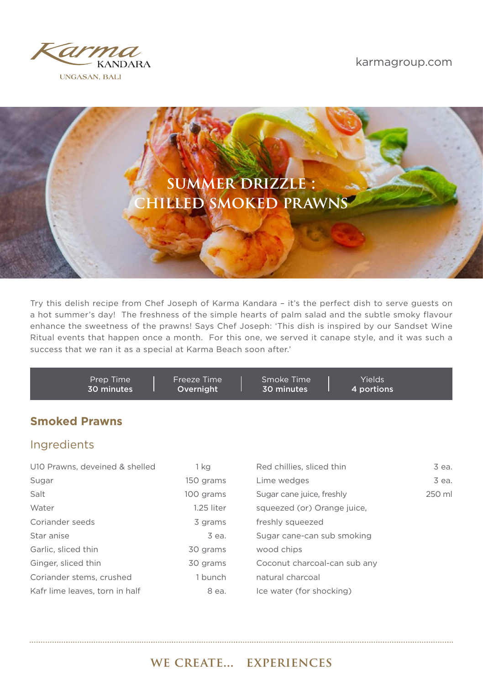





Try this delish recipe from Chef Joseph of Karma Kandara – it's the perfect dish to serve guests on a hot summer's day! The freshness of the simple hearts of palm salad and the subtle smoky flavour enhance the sweetness of the prawns! Says Chef Joseph: 'This dish is inspired by our Sandset Wine Ritual events that happen once a month. For this one, we served it canape style, and it was such a success that we ran it as a special at Karma Beach soon after.'

| Prep Time  | Freeze Time | Smoke Time | Yields     |  |
|------------|-------------|------------|------------|--|
| 30 minutes | Overnight   | 30 minutes | 4 portions |  |
|            |             |            |            |  |

## **Smoked Prawns**

## Ingredients

| U10 Prawns, deveined & shelled | 1 ka       | Red chillies, sliced thin    | 3 ea.  |
|--------------------------------|------------|------------------------------|--------|
| Sugar                          | 150 grams  | Lime wedges                  | 3 ea.  |
| Salt                           | 100 grams  | Sugar cane juice, freshly    | 250 ml |
| Water                          | 1.25 liter | squeezed (or) Orange juice,  |        |
| Coriander seeds                | 3 grams    | freshly squeezed             |        |
| Star anise                     | 3 ea.      | Sugar cane-can sub smoking   |        |
| Garlic, sliced thin            | 30 grams   | wood chips                   |        |
| Ginger, sliced thin            | 30 grams   | Coconut charcoal-can sub any |        |
| Coriander stems, crushed       | 1 bunch    | natural charcoal             |        |
| Kafr lime leaves, torn in half | 8 ea.      | Ice water (for shocking)     |        |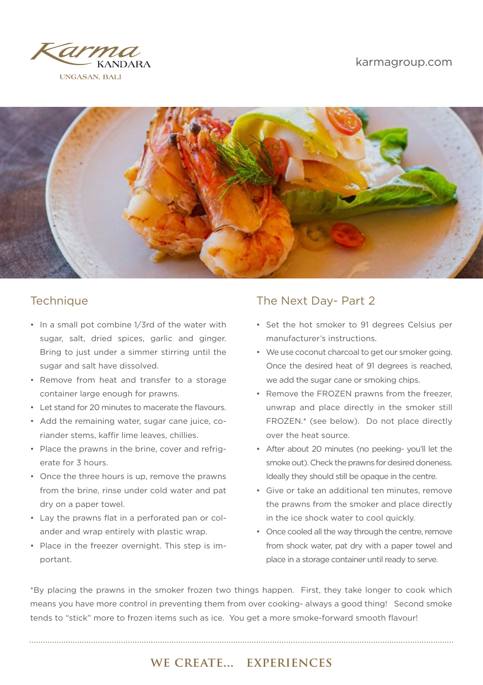### karmagroup.com





- In a small pot combine 1/3rd of the water with sugar, salt, dried spices, garlic and ginger. Bring to just under a simmer stirring until the sugar and salt have dissolved.
- Remove from heat and transfer to a storage container large enough for prawns.
- Let stand for 20 minutes to macerate the flavours.
- Add the remaining water, sugar cane juice, coriander stems, kaffir lime leaves, chillies.
- Place the prawns in the brine, cover and refrigerate for 3 hours.
- Once the three hours is up, remove the prawns from the brine, rinse under cold water and pat dry on a paper towel.
- Lay the prawns flat in a perforated pan or colander and wrap entirely with plastic wrap.
- Place in the freezer overnight. This step is important.

## Technique Technique The Next Day- Part 2

- Set the hot smoker to 91 degrees Celsius per manufacturer's instructions.
- We use coconut charcoal to get our smoker going. Once the desired heat of 91 degrees is reached, we add the sugar cane or smoking chips.
- Remove the FROZEN prawns from the freezer, unwrap and place directly in the smoker still FROZEN.\* (see below). Do not place directly over the heat source.
- After about 20 minutes (no peeking- you'll let the smoke out). Check the prawns for desired doneness. Ideally they should still be opaque in the centre.
- Give or take an additional ten minutes, remove the prawns from the smoker and place directly in the ice shock water to cool quickly.
- Once cooled all the way through the centre, remove from shock water, pat dry with a paper towel and place in a storage container until ready to serve.

\*By placing the prawns in the smoker frozen two things happen. First, they take longer to cook which means you have more control in preventing them from over cooking- always a good thing! Second smoke tends to "stick" more to frozen items such as ice. You get a more smoke-forward smooth flavour!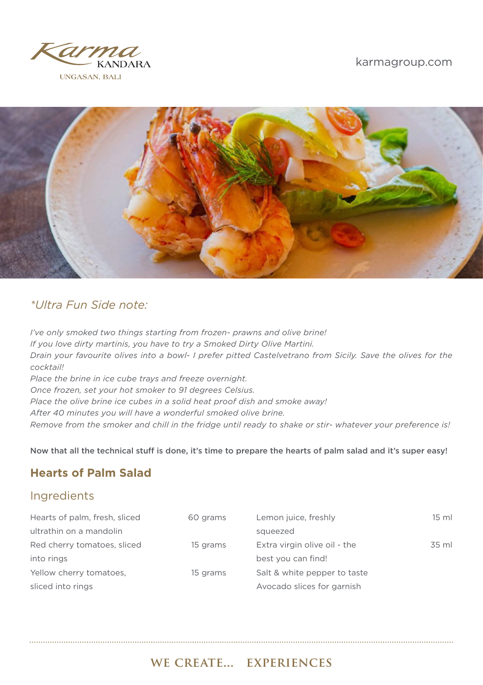

### karmagroup.com



# *\*Ultra Fun Side note:*

*I've only smoked two things starting from frozen- prawns and olive brine! If you love dirty martinis, you have to try a Smoked Dirty Olive Martini. Drain your favourite olives into a bowl- I prefer pitted Castelvetrano from Sicily. Save the olives for the cocktail! Place the brine in ice cube trays and freeze overnight. Once frozen, set your hot smoker to 91 degrees Celsius. Place the olive brine ice cubes in a solid heat proof dish and smoke away! After 40 minutes you will have a wonderful smoked olive brine. Remove from the smoker and chill in the fridge until ready to shake or stir- whatever your preference is!*

Now that all the technical stuff is done, it's time to prepare the hearts of palm salad and it's super easy!

## **Hearts of Palm Salad**

## Ingredients

| Hearts of palm, fresh, sliced | 60 grams | Lemon juice, freshly         | $15 \text{ ml}$ |
|-------------------------------|----------|------------------------------|-----------------|
| ultrathin on a mandolin       |          | squeezed                     |                 |
| Red cherry tomatoes, sliced   | 15 grams | Extra virgin olive oil - the | 35 ml           |
| into rings                    |          | best you can find!           |                 |
| Yellow cherry tomatoes,       | 15 grams | Salt & white pepper to taste |                 |
| sliced into rings             |          | Avocado slices for garnish   |                 |